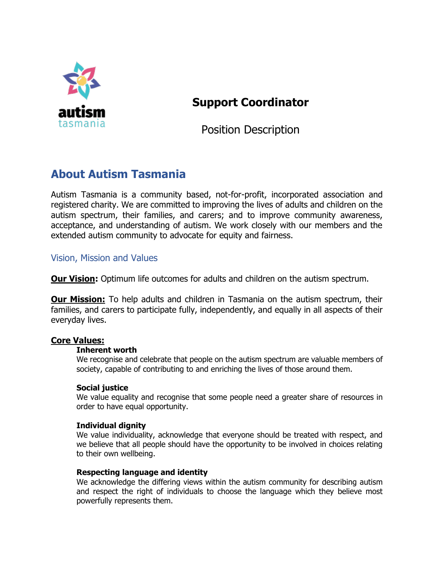

# **Support Coordinator**

Position Description

# **About Autism Tasmania**

Autism Tasmania is a community based, not-for-profit, incorporated association and registered charity. We are committed to improving the lives of adults and children on the autism spectrum, their families, and carers; and to improve community awareness, acceptance, and understanding of autism. We work closely with our members and the extended autism community to advocate for equity and fairness.

### Vision, Mission and Values

**Our Vision:** Optimum life outcomes for adults and children on the autism spectrum.

**Our Mission:** To help adults and children in Tasmania on the autism spectrum, their families, and carers to participate fully, independently, and equally in all aspects of their everyday lives.

### **Core Values:**

### **Inherent worth**

We recognise and celebrate that people on the autism spectrum are valuable members of society, capable of contributing to and enriching the lives of those around them.

### **Social justice**

We value equality and recognise that some people need a greater share of resources in order to have equal opportunity.

### **Individual dignity**

We value individuality, acknowledge that everyone should be treated with respect, and we believe that all people should have the opportunity to be involved in choices relating to their own wellbeing.

#### **Respecting language and identity**

We acknowledge the differing views within the autism community for describing autism and respect the right of individuals to choose the language which they believe most powerfully represents them.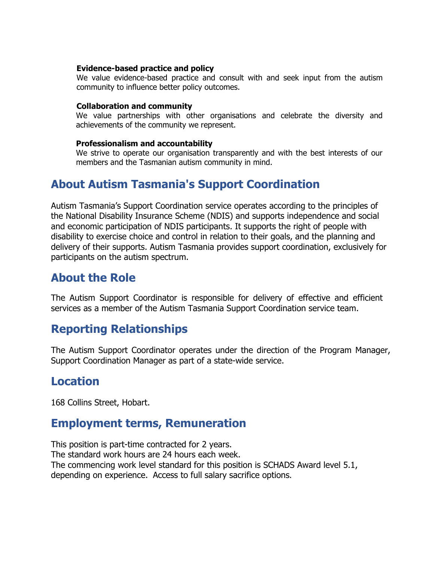#### **Evidence-based practice and policy**

We value evidence-based practice and consult with and seek input from the autism community to influence better policy outcomes.

#### **Collaboration and community**

We value partnerships with other organisations and celebrate the diversity and achievements of the community we represent.

#### **Professionalism and accountability**

We strive to operate our organisation transparently and with the best interests of our members and the Tasmanian autism community in mind.

## **About Autism Tasmania's Support Coordination**

Autism Tasmania's Support Coordination service operates according to the principles of the National Disability Insurance Scheme (NDIS) and supports independence and social and economic participation of NDIS participants. It supports the right of people with disability to exercise choice and control in relation to their goals, and the planning and delivery of their supports. Autism Tasmania provides support coordination, exclusively for participants on the autism spectrum.

## **About the Role**

The Autism Support Coordinator is responsible for delivery of effective and efficient services as a member of the Autism Tasmania Support Coordination service team.

## **Reporting Relationships**

The Autism Support Coordinator operates under the direction of the Program Manager, Support Coordination Manager as part of a state-wide service.

## **Location**

168 Collins Street, Hobart.

## **Employment terms, Remuneration**

This position is part-time contracted for 2 years. The standard work hours are 24 hours each week. The commencing work level standard for this position is SCHADS Award level 5.1, depending on experience. Access to full salary sacrifice options.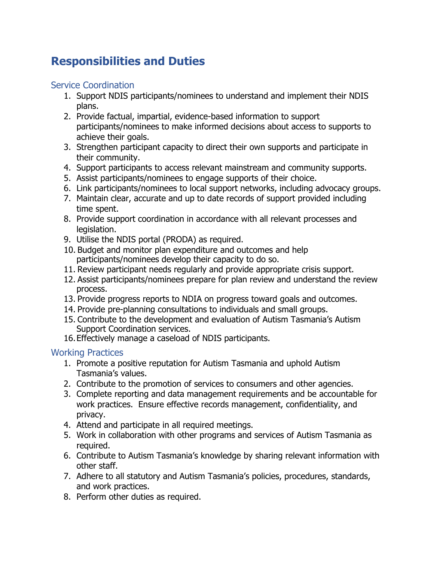# **Responsibilities and Duties**

### Service Coordination

- 1. Support NDIS participants/nominees to understand and implement their NDIS plans.
- 2. Provide factual, impartial, evidence-based information to support participants/nominees to make informed decisions about access to supports to achieve their goals.
- 3. Strengthen participant capacity to direct their own supports and participate in their community.
- 4. Support participants to access relevant mainstream and community supports.
- 5. Assist participants/nominees to engage supports of their choice.
- 6. Link participants/nominees to local support networks, including advocacy groups.
- 7. Maintain clear, accurate and up to date records of support provided including time spent.
- 8. Provide support coordination in accordance with all relevant processes and legislation.
- 9. Utilise the NDIS portal (PRODA) as required.
- 10. Budget and monitor plan expenditure and outcomes and help participants/nominees develop their capacity to do so.
- 11. Review participant needs regularly and provide appropriate crisis support.
- 12. Assist participants/nominees prepare for plan review and understand the review process.
- 13. Provide progress reports to NDIA on progress toward goals and outcomes.
- 14. Provide pre-planning consultations to individuals and small groups.
- 15. Contribute to the development and evaluation of Autism Tasmania's Autism Support Coordination services.
- 16.Effectively manage a caseload of NDIS participants.

### Working Practices

- 1. Promote a positive reputation for Autism Tasmania and uphold Autism Tasmania's values.
- 2. Contribute to the promotion of services to consumers and other agencies.
- 3. Complete reporting and data management requirements and be accountable for work practices. Ensure effective records management, confidentiality, and privacy.
- 4. Attend and participate in all required meetings.
- 5. Work in collaboration with other programs and services of Autism Tasmania as required.
- 6. Contribute to Autism Tasmania's knowledge by sharing relevant information with other staff.
- 7. Adhere to all statutory and Autism Tasmania's policies, procedures, standards, and work practices.
- 8. Perform other duties as required.